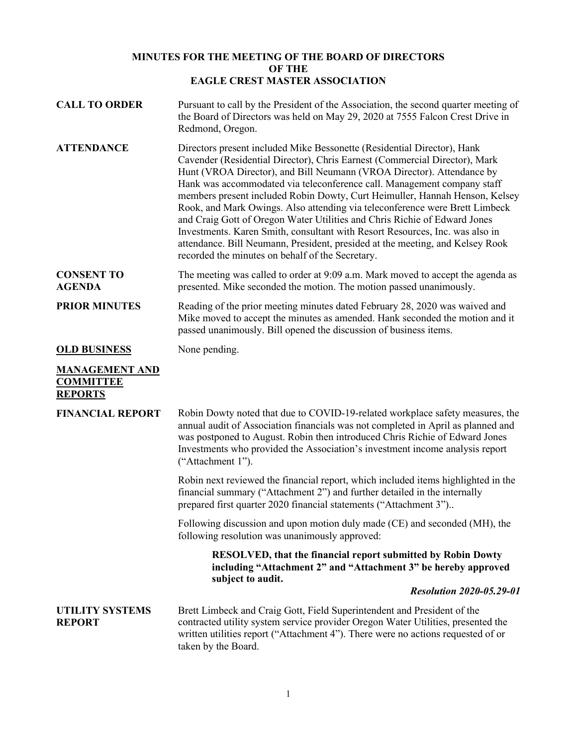## **MINUTES FOR THE MEETING OF THE BOARD OF DIRECTORS OF THE EAGLE CREST MASTER ASSOCIATION**

| <b>CALL TO ORDER</b>                                        | Pursuant to call by the President of the Association, the second quarter meeting of<br>the Board of Directors was held on May 29, 2020 at 7555 Falcon Crest Drive in<br>Redmond, Oregon.                                                                                                                                                                                                                                                                                                                                                                                                                                                                                                                                                                                  |
|-------------------------------------------------------------|---------------------------------------------------------------------------------------------------------------------------------------------------------------------------------------------------------------------------------------------------------------------------------------------------------------------------------------------------------------------------------------------------------------------------------------------------------------------------------------------------------------------------------------------------------------------------------------------------------------------------------------------------------------------------------------------------------------------------------------------------------------------------|
| <b>ATTENDANCE</b>                                           | Directors present included Mike Bessonette (Residential Director), Hank<br>Cavender (Residential Director), Chris Earnest (Commercial Director), Mark<br>Hunt (VROA Director), and Bill Neumann (VROA Director). Attendance by<br>Hank was accommodated via teleconference call. Management company staff<br>members present included Robin Dowty, Curt Heimuller, Hannah Henson, Kelsey<br>Rook, and Mark Owings. Also attending via teleconference were Brett Limbeck<br>and Craig Gott of Oregon Water Utilities and Chris Richie of Edward Jones<br>Investments. Karen Smith, consultant with Resort Resources, Inc. was also in<br>attendance. Bill Neumann, President, presided at the meeting, and Kelsey Rook<br>recorded the minutes on behalf of the Secretary. |
| <b>CONSENT TO</b><br><b>AGENDA</b>                          | The meeting was called to order at 9:09 a.m. Mark moved to accept the agenda as<br>presented. Mike seconded the motion. The motion passed unanimously.                                                                                                                                                                                                                                                                                                                                                                                                                                                                                                                                                                                                                    |
| <b>PRIOR MINUTES</b>                                        | Reading of the prior meeting minutes dated February 28, 2020 was waived and<br>Mike moved to accept the minutes as amended. Hank seconded the motion and it<br>passed unanimously. Bill opened the discussion of business items.                                                                                                                                                                                                                                                                                                                                                                                                                                                                                                                                          |
| <b>OLD BUSINESS</b>                                         | None pending.                                                                                                                                                                                                                                                                                                                                                                                                                                                                                                                                                                                                                                                                                                                                                             |
| <b>MANAGEMENT AND</b><br><b>COMMITTEE</b><br><b>REPORTS</b> |                                                                                                                                                                                                                                                                                                                                                                                                                                                                                                                                                                                                                                                                                                                                                                           |
| <b>FINANCIAL REPORT</b>                                     | Robin Dowty noted that due to COVID-19-related workplace safety measures, the<br>annual audit of Association financials was not completed in April as planned and<br>was postponed to August. Robin then introduced Chris Richie of Edward Jones<br>Investments who provided the Association's investment income analysis report<br>("Attachment 1").                                                                                                                                                                                                                                                                                                                                                                                                                     |
|                                                             | Robin next reviewed the financial report, which included items highlighted in the<br>financial summary ("Attachment 2") and further detailed in the internally<br>prepared first quarter 2020 financial statements ("Attachment 3")                                                                                                                                                                                                                                                                                                                                                                                                                                                                                                                                       |
|                                                             | Following discussion and upon motion duly made (CE) and seconded (MH), the<br>following resolution was unanimously approved:                                                                                                                                                                                                                                                                                                                                                                                                                                                                                                                                                                                                                                              |
|                                                             | RESOLVED, that the financial report submitted by Robin Dowty<br>including "Attachment 2" and "Attachment 3" be hereby approved<br>subject to audit.                                                                                                                                                                                                                                                                                                                                                                                                                                                                                                                                                                                                                       |
|                                                             | <b>Resolution 2020-05.29-01</b>                                                                                                                                                                                                                                                                                                                                                                                                                                                                                                                                                                                                                                                                                                                                           |
| <b>UTILITY SYSTEMS</b><br><b>REPORT</b>                     | Brett Limbeck and Craig Gott, Field Superintendent and President of the<br>contracted utility system service provider Oregon Water Utilities, presented the<br>written utilities report ("Attachment 4"). There were no actions requested of or<br>taken by the Board.                                                                                                                                                                                                                                                                                                                                                                                                                                                                                                    |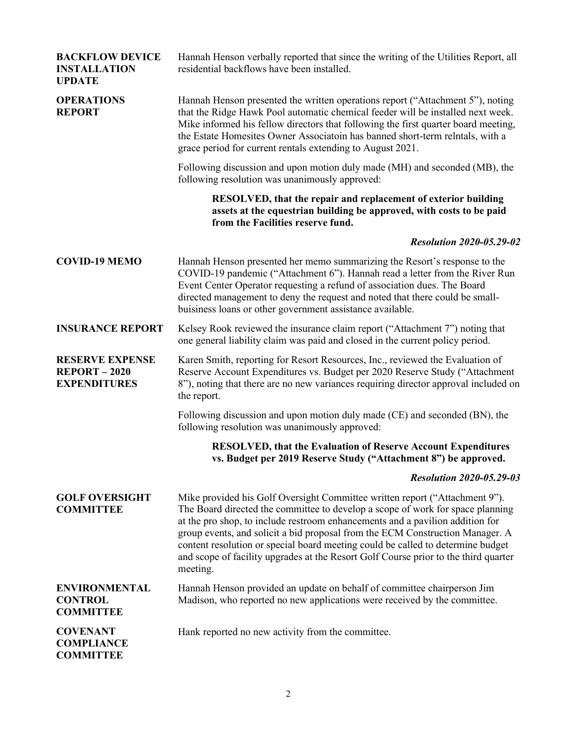| <b>BACKFLOW DEVICE</b><br><b>INSTALLATION</b><br><b>UPDATE</b>      | Hannah Henson verbally reported that since the writing of the Utilities Report, all<br>residential backflows have been installed.                                                                                                                                                                                                                                                                                                                                                                                     |
|---------------------------------------------------------------------|-----------------------------------------------------------------------------------------------------------------------------------------------------------------------------------------------------------------------------------------------------------------------------------------------------------------------------------------------------------------------------------------------------------------------------------------------------------------------------------------------------------------------|
| <b>OPERATIONS</b><br><b>REPORT</b>                                  | Hannah Henson presented the written operations report ("Attachment 5"), noting<br>that the Ridge Hawk Pool automatic chemical feeder will be installed next week.<br>Mike informed his fellow directors that following the first quarter board meeting,<br>the Estate Homesites Owner Associatoin has banned short-term relntals, with a<br>grace period for current rentals extending to August 2021.                                                                                                                |
|                                                                     | Following discussion and upon motion duly made (MH) and seconded (MB), the<br>following resolution was unanimously approved:                                                                                                                                                                                                                                                                                                                                                                                          |
|                                                                     | RESOLVED, that the repair and replacement of exterior building<br>assets at the equestrian building be approved, with costs to be paid<br>from the Facilities reserve fund.                                                                                                                                                                                                                                                                                                                                           |
|                                                                     | <b>Resolution 2020-05.29-02</b>                                                                                                                                                                                                                                                                                                                                                                                                                                                                                       |
| <b>COVID-19 MEMO</b>                                                | Hannah Henson presented her memo summarizing the Resort's response to the<br>COVID-19 pandemic ("Attachment 6"). Hannah read a letter from the River Run<br>Event Center Operator requesting a refund of association dues. The Board<br>directed management to deny the request and noted that there could be small-<br>buisiness loans or other government assistance available.                                                                                                                                     |
| <b>INSURANCE REPORT</b>                                             | Kelsey Rook reviewed the insurance claim report ("Attachment 7") noting that<br>one general liability claim was paid and closed in the current policy period.                                                                                                                                                                                                                                                                                                                                                         |
| <b>RESERVE EXPENSE</b><br><b>REPORT-2020</b><br><b>EXPENDITURES</b> | Karen Smith, reporting for Resort Resources, Inc., reviewed the Evaluation of<br>Reserve Account Expenditures vs. Budget per 2020 Reserve Study ("Attachment<br>8"), noting that there are no new variances requiring director approval included on<br>the report.                                                                                                                                                                                                                                                    |
|                                                                     | Following discussion and upon motion duly made (CE) and seconded (BN), the<br>following resolution was unanimously approved:                                                                                                                                                                                                                                                                                                                                                                                          |
|                                                                     | <b>RESOLVED, that the Evaluation of Reserve Account Expenditures</b><br>vs. Budget per 2019 Reserve Study ("Attachment 8") be approved.                                                                                                                                                                                                                                                                                                                                                                               |
|                                                                     | <b>Resolution 2020-05.29-03</b>                                                                                                                                                                                                                                                                                                                                                                                                                                                                                       |
| <b>GOLF OVERSIGHT</b><br><b>COMMITTEE</b>                           | Mike provided his Golf Oversight Committee written report ("Attachment 9").<br>The Board directed the committee to develop a scope of work for space planning<br>at the pro shop, to include restroom enhancements and a pavilion addition for<br>group events, and solicit a bid proposal from the ECM Construction Manager. A<br>content resolution or special board meeting could be called to determine budget<br>and scope of facility upgrades at the Resort Golf Course prior to the third quarter<br>meeting. |
| <b>ENVIRONMENTAL</b><br><b>CONTROL</b><br><b>COMMITTEE</b>          | Hannah Henson provided an update on behalf of committee chairperson Jim<br>Madison, who reported no new applications were received by the committee.                                                                                                                                                                                                                                                                                                                                                                  |
| <b>COVENANT</b><br><b>COMPLIANCE</b><br><b>COMMITTEE</b>            | Hank reported no new activity from the committee.                                                                                                                                                                                                                                                                                                                                                                                                                                                                     |